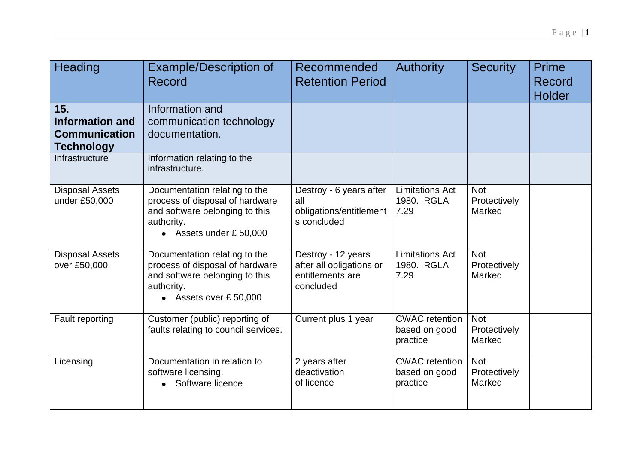| Heading                                                                    | <b>Example/Description of</b><br>Record                                                                                                    | Recommended<br><b>Retention Period</b>                                          | <b>Authority</b>                                   | <b>Security</b>                      | Prime<br>Record<br><b>Holder</b> |
|----------------------------------------------------------------------------|--------------------------------------------------------------------------------------------------------------------------------------------|---------------------------------------------------------------------------------|----------------------------------------------------|--------------------------------------|----------------------------------|
| 15.<br><b>Information and</b><br><b>Communication</b><br><b>Technology</b> | Information and<br>communication technology<br>documentation.                                                                              |                                                                                 |                                                    |                                      |                                  |
| Infrastructure                                                             | Information relating to the<br>infrastructure.                                                                                             |                                                                                 |                                                    |                                      |                                  |
| <b>Disposal Assets</b><br>under £50,000                                    | Documentation relating to the<br>process of disposal of hardware<br>and software belonging to this<br>authority.<br>• Assets under £50,000 | Destroy - 6 years after<br>all<br>obligations/entitlement<br>s concluded        | <b>Limitations Act</b><br>1980. RGLA<br>7.29       | <b>Not</b><br>Protectively<br>Marked |                                  |
| <b>Disposal Assets</b><br>over £50,000                                     | Documentation relating to the<br>process of disposal of hardware<br>and software belonging to this<br>authority.<br>• Assets over £50,000  | Destroy - 12 years<br>after all obligations or<br>entitlements are<br>concluded | <b>Limitations Act</b><br>1980. RGLA<br>7.29       | <b>Not</b><br>Protectively<br>Marked |                                  |
| Fault reporting                                                            | Customer (public) reporting of<br>faults relating to council services.                                                                     | Current plus 1 year                                                             | <b>CWAC</b> retention<br>based on good<br>practice | <b>Not</b><br>Protectively<br>Marked |                                  |
| Licensing                                                                  | Documentation in relation to<br>software licensing.<br>Software licence                                                                    | 2 years after<br>deactivation<br>of licence                                     | <b>CWAC</b> retention<br>based on good<br>practice | <b>Not</b><br>Protectively<br>Marked |                                  |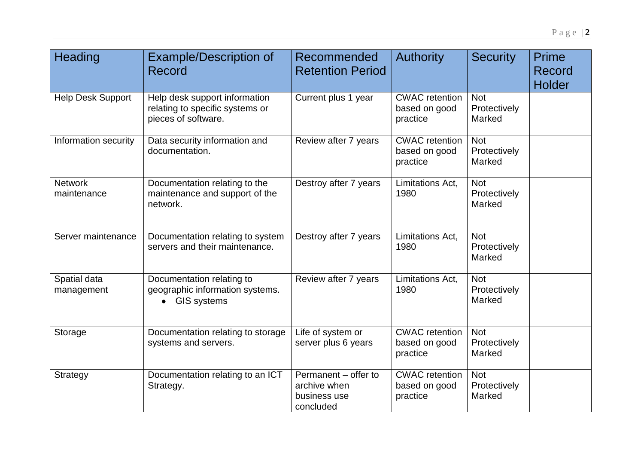| Heading                       | <b>Example/Description of</b><br>Record                                                 | Recommended<br><b>Retention Period</b>                            | <b>Authority</b>                                   | <b>Security</b>                      | Prime<br><b>Record</b><br><b>Holder</b> |
|-------------------------------|-----------------------------------------------------------------------------------------|-------------------------------------------------------------------|----------------------------------------------------|--------------------------------------|-----------------------------------------|
| <b>Help Desk Support</b>      | Help desk support information<br>relating to specific systems or<br>pieces of software. | Current plus 1 year                                               | <b>CWAC</b> retention<br>based on good<br>practice | <b>Not</b><br>Protectively<br>Marked |                                         |
| Information security          | Data security information and<br>documentation.                                         | Review after 7 years                                              | <b>CWAC</b> retention<br>based on good<br>practice | <b>Not</b><br>Protectively<br>Marked |                                         |
| <b>Network</b><br>maintenance | Documentation relating to the<br>maintenance and support of the<br>network.             | Destroy after 7 years                                             | Limitations Act,<br>1980                           | <b>Not</b><br>Protectively<br>Marked |                                         |
| Server maintenance            | Documentation relating to system<br>servers and their maintenance.                      | Destroy after 7 years                                             | Limitations Act,<br>1980                           | <b>Not</b><br>Protectively<br>Marked |                                         |
| Spatial data<br>management    | Documentation relating to<br>geographic information systems.<br><b>GIS systems</b>      | Review after 7 years                                              | Limitations Act.<br>1980                           | <b>Not</b><br>Protectively<br>Marked |                                         |
| Storage                       | Documentation relating to storage<br>systems and servers.                               | Life of system or<br>server plus 6 years                          | <b>CWAC</b> retention<br>based on good<br>practice | <b>Not</b><br>Protectively<br>Marked |                                         |
| <b>Strategy</b>               | Documentation relating to an ICT<br>Strategy.                                           | Permanent - offer to<br>archive when<br>business use<br>concluded | <b>CWAC</b> retention<br>based on good<br>practice | <b>Not</b><br>Protectively<br>Marked |                                         |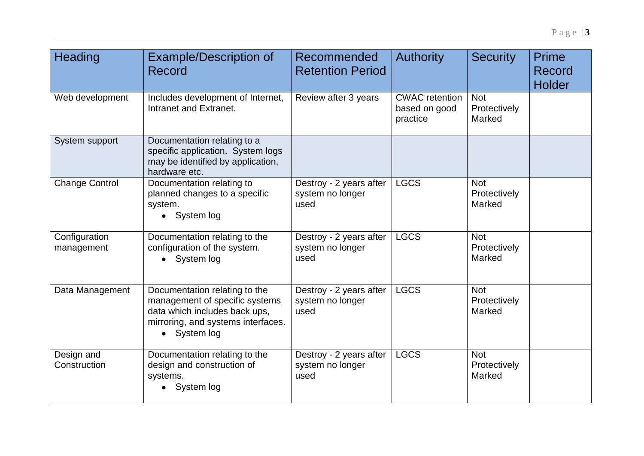| Heading                     | <b>Example/Description of</b><br>Record                                                                                                                           | Recommended<br><b>Retention Period</b>              | <b>Authority</b>                                   | <b>Security</b>                      | Prime<br>Record<br><b>Holder</b> |
|-----------------------------|-------------------------------------------------------------------------------------------------------------------------------------------------------------------|-----------------------------------------------------|----------------------------------------------------|--------------------------------------|----------------------------------|
| Web development             | Includes development of Internet,<br>Intranet and Extranet.                                                                                                       | Review after 3 years                                | <b>CWAC</b> retention<br>based on good<br>practice | <b>Not</b><br>Protectively<br>Marked |                                  |
| System support              | Documentation relating to a<br>specific application. System logs<br>may be identified by application,<br>hardware etc.                                            |                                                     |                                                    |                                      |                                  |
| <b>Change Control</b>       | Documentation relating to<br>planned changes to a specific<br>system.<br>• System log                                                                             | Destroy - 2 years after<br>system no longer<br>used | <b>LGCS</b>                                        | <b>Not</b><br>Protectively<br>Marked |                                  |
| Configuration<br>management | Documentation relating to the<br>configuration of the system.<br>• System log                                                                                     | Destroy - 2 years after<br>system no longer<br>used | <b>LGCS</b>                                        | <b>Not</b><br>Protectively<br>Marked |                                  |
| Data Management             | Documentation relating to the<br>management of specific systems<br>data which includes back ups,<br>mirroring, and systems interfaces.<br>System log<br>$\bullet$ | Destroy - 2 years after<br>system no longer<br>used | <b>LGCS</b>                                        | <b>Not</b><br>Protectively<br>Marked |                                  |
| Design and<br>Construction  | Documentation relating to the<br>design and construction of<br>systems.<br>• System log                                                                           | Destroy - 2 years after<br>system no longer<br>used | <b>LGCS</b>                                        | <b>Not</b><br>Protectively<br>Marked |                                  |